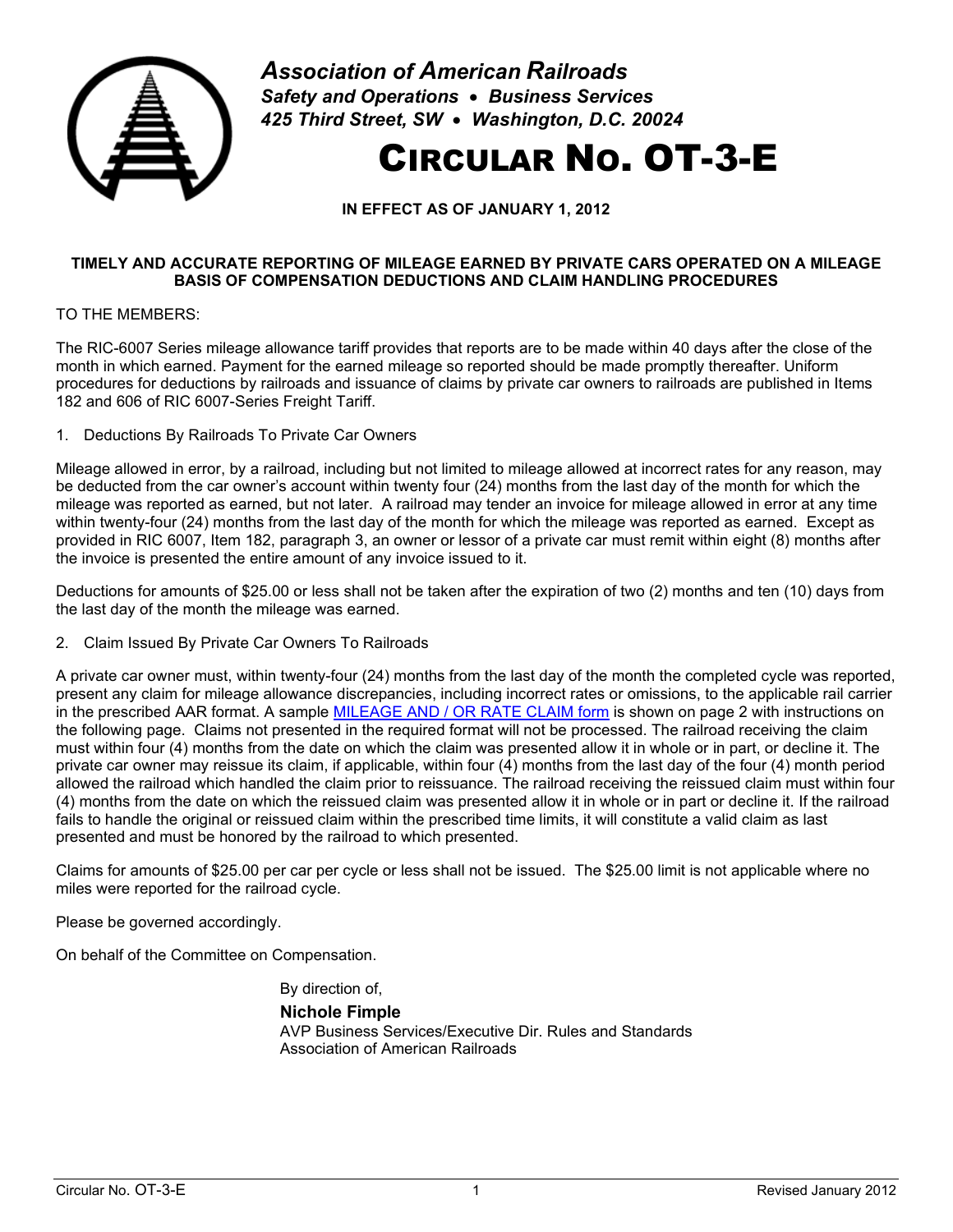

*Association of American Railroads Safety and Operations* • *Business Services 425 Third Street, SW* • *Washington, D.C. 20024*

## CIRCULAR NO. OT-3-E

**IN EFFECT AS OF JANUARY 1, 2012**

## **TIMELY AND ACCURATE REPORTING OF MILEAGE EARNED BY PRIVATE CARS OPERATED ON A MILEAGE BASIS OF COMPENSATION DEDUCTIONS AND CLAIM HANDLING PROCEDURES**

TO THE MEMBERS:

The RIC-6007 Series mileage allowance tariff provides that reports are to be made within 40 days after the close of the month in which earned. Payment for the earned mileage so reported should be made promptly thereafter. Uniform procedures for deductions by railroads and issuance of claims by private car owners to railroads are published in Items 182 and 606 of RIC 6007-Series Freight Tariff.

1. Deductions By Railroads To Private Car Owners

Mileage allowed in error, by a railroad, including but not limited to mileage allowed at incorrect rates for any reason, may be deducted from the car owner's account within twenty four (24) months from the last day of the month for which the mileage was reported as earned, but not later. A railroad may tender an invoice for mileage allowed in error at any time within twenty-four (24) months from the last day of the month for which the mileage was reported as earned. Except as provided in RIC 6007, Item 182, paragraph 3, an owner or lessor of a private car must remit within eight (8) months after the invoice is presented the entire amount of any invoice issued to it.

Deductions for amounts of \$25.00 or less shall not be taken after the expiration of two (2) months and ten (10) days from the last day of the month the mileage was earned.

2. Claim Issued By Private Car Owners To Railroads

A private car owner must, within twenty-four (24) months from the last day of the month the completed cycle was reported, present any claim for mileage allowance discrepancies, including incorrect rates or omissions, to the applicable rail carrier in the prescribed AAR format. A sample [MILEAGE AND / OR RATE CLAIM form](#page-1-0) is shown on page [2](#page-1-0) with instructions on the following page. Claims not presented in the required format will not be processed. The railroad receiving the claim must within four (4) months from the date on which the claim was presented allow it in whole or in part, or decline it. The private car owner may reissue its claim, if applicable, within four (4) months from the last day of the four (4) month period allowed the railroad which handled the claim prior to reissuance. The railroad receiving the reissued claim must within four (4) months from the date on which the reissued claim was presented allow it in whole or in part or decline it. If the railroad fails to handle the original or reissued claim within the prescribed time limits, it will constitute a valid claim as last presented and must be honored by the railroad to which presented.

Claims for amounts of \$25.00 per car per cycle or less shall not be issued. The \$25.00 limit is not applicable where no miles were reported for the railroad cycle.

Please be governed accordingly.

On behalf of the Committee on Compensation.

By direction of,

**Nichole Fimple** AVP Business Services/Executive Dir. Rules and Standards Association of American Railroads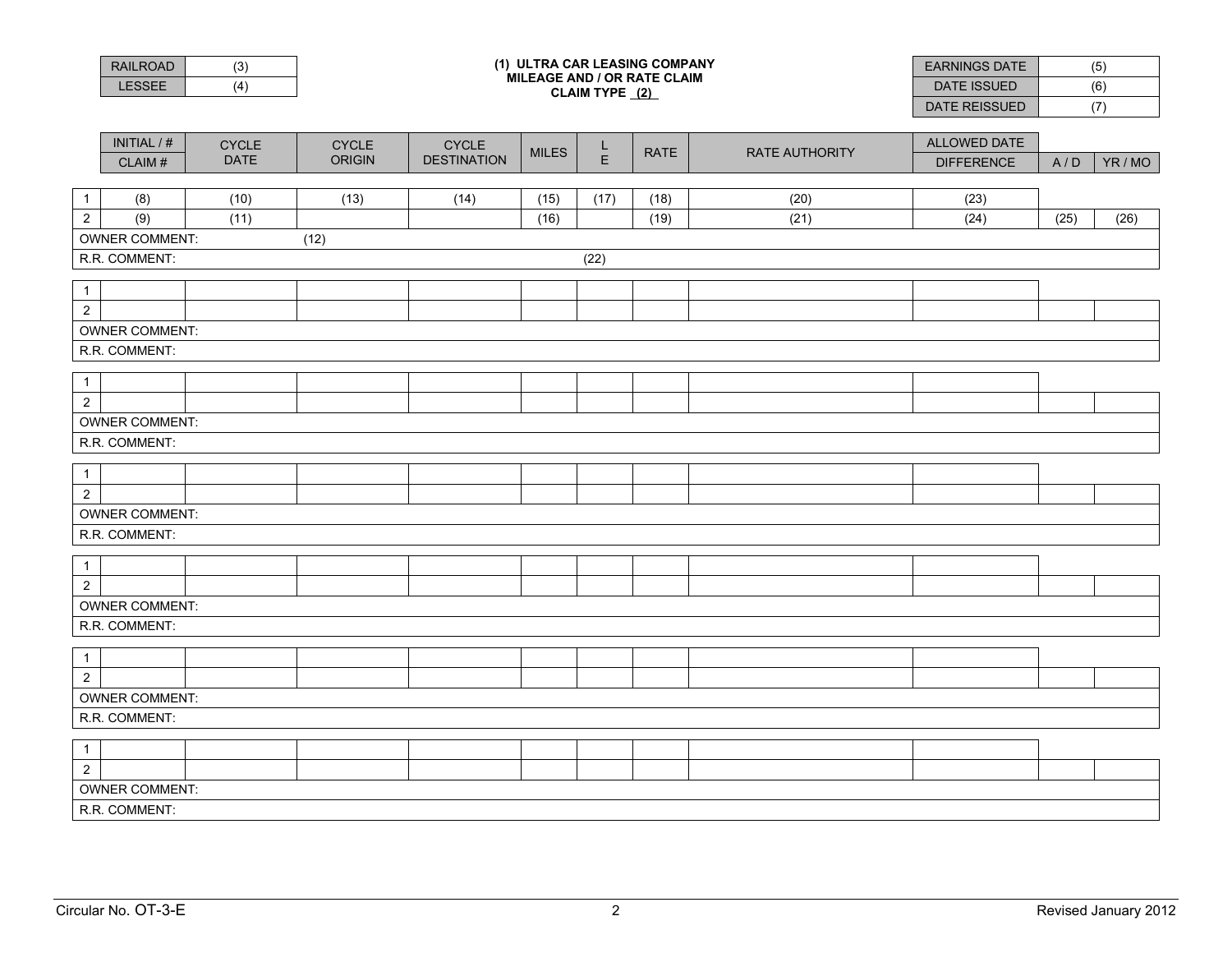<span id="page-1-0"></span>

|                                | <b>RAILROAD</b>                        | (3)          |                | <b>EARNINGS DATE</b>               | (5)          |             |             |                       |                   |      |         |
|--------------------------------|----------------------------------------|--------------|----------------|------------------------------------|--------------|-------------|-------------|-----------------------|-------------------|------|---------|
|                                | <b>LESSEE</b>                          | (4)          |                | <b>DATE ISSUED</b>                 | (6)          |             |             |                       |                   |      |         |
|                                |                                        |              | CLAIM TYPE (2) |                                    |              |             |             |                       | DATE REISSUED     | (7)  |         |
|                                |                                        |              |                |                                    |              |             |             |                       |                   |      |         |
|                                | INITIAL / #                            | <b>CYCLE</b> | <b>CYCLE</b>   | <b>CYCLE</b><br><b>DESTINATION</b> | <b>MILES</b> | $rac{L}{E}$ | <b>RATE</b> | <b>RATE AUTHORITY</b> | ALLOWED DATE      |      |         |
|                                | CLAIM#                                 | <b>DATE</b>  | <b>ORIGIN</b>  |                                    |              |             |             |                       | <b>DIFFERENCE</b> | A/D  | YR / MO |
| $\mathbf{1}$                   | (8)                                    | (10)         | (13)           | (14)                               | (15)         | (17)        | (18)        | (20)                  | (23)              |      |         |
| $\overline{2}$                 | (9)                                    | (11)         |                |                                    | (16)         |             | (19)        | (21)                  | (24)              | (25) | (26)    |
|                                | <b>OWNER COMMENT:</b>                  |              | (12)           |                                    |              |             |             |                       |                   |      |         |
| R.R. COMMENT:<br>(22)          |                                        |              |                |                                    |              |             |             |                       |                   |      |         |
|                                |                                        |              |                |                                    |              |             |             |                       |                   |      |         |
| $\mathbf{1}$                   |                                        |              |                |                                    |              |             |             |                       |                   |      |         |
| $\overline{2}$                 |                                        |              |                |                                    |              |             |             |                       |                   |      |         |
| <b>OWNER COMMENT:</b>          |                                        |              |                |                                    |              |             |             |                       |                   |      |         |
| R.R. COMMENT:                  |                                        |              |                |                                    |              |             |             |                       |                   |      |         |
| $\mathbf{1}$                   |                                        |              |                |                                    |              |             |             |                       |                   |      |         |
| $\overline{2}$                 |                                        |              |                |                                    |              |             |             |                       |                   |      |         |
|                                | <b>OWNER COMMENT:</b>                  |              |                |                                    |              |             |             |                       |                   |      |         |
| R.R. COMMENT:                  |                                        |              |                |                                    |              |             |             |                       |                   |      |         |
|                                |                                        |              |                |                                    |              |             |             |                       |                   |      |         |
| $\mathbf{1}$                   |                                        |              |                |                                    |              |             |             |                       |                   |      |         |
| $\overline{2}$                 |                                        |              |                |                                    |              |             |             |                       |                   |      |         |
| <b>OWNER COMMENT:</b>          |                                        |              |                |                                    |              |             |             |                       |                   |      |         |
| R.R. COMMENT:                  |                                        |              |                |                                    |              |             |             |                       |                   |      |         |
| $\mathbf{1}$                   |                                        |              |                |                                    |              |             |             |                       |                   |      |         |
| $\overline{2}$                 |                                        |              |                |                                    |              |             |             |                       |                   |      |         |
| <b>OWNER COMMENT:</b>          |                                        |              |                |                                    |              |             |             |                       |                   |      |         |
| R.R. COMMENT:                  |                                        |              |                |                                    |              |             |             |                       |                   |      |         |
|                                |                                        |              |                |                                    |              |             |             |                       |                   |      |         |
| $\mathbf{1}$<br>$\overline{2}$ |                                        |              |                |                                    |              |             |             |                       |                   |      |         |
|                                |                                        |              |                |                                    |              |             |             |                       |                   |      |         |
|                                | <b>OWNER COMMENT:</b><br>R.R. COMMENT: |              |                |                                    |              |             |             |                       |                   |      |         |
|                                |                                        |              |                |                                    |              |             |             |                       |                   |      |         |
| $\mathbf{1}$                   |                                        |              |                |                                    |              |             |             |                       |                   |      |         |
| $\overline{2}$                 |                                        |              |                |                                    |              |             |             |                       |                   |      |         |
|                                | <b>OWNER COMMENT:</b>                  |              |                |                                    |              |             |             |                       |                   |      |         |
| R.R. COMMENT:                  |                                        |              |                |                                    |              |             |             |                       |                   |      |         |